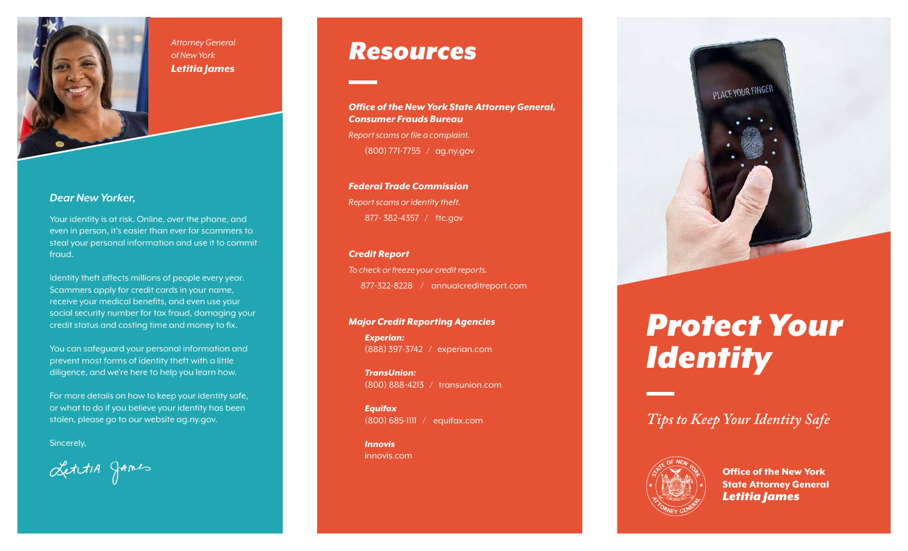

## *Dear New Yorker,*

Your identity is at risk. Online, over the phone, and even in person, it's easier than ever for scammers to steal your personal information and use it to commit fraud.

Identity theft affects millions of people every year. Scammers apply for credit cards in your name, receive your medical benefits, and even use your social security number for tax fraud, damaging your credit status and costing time and money to fix.

You can safeguard your personal information and prevent most forms of identity theft with a little diligence, and we're here to help you learn how.

For more details on how to keep your identity safe, or what to do if you believe your identity has been stolen, please go to our website ag.ny.gov.

Sincerely,

LettiA games

# *Resources*

*Office of the New York State Attorney General, Consumer Frauds Bureau*

*Report scams or file a complaint.* (800) 771-7755 / ag.ny.gov

*Federal Trade Commission Report scams or identity theft.* 877- 382-4357 / ftc.gov

#### *Credit Report*

*To check or freeze your credit reports.* 877-322-8228 / annualcreditreport.com

#### *Major Credit Reporting Agencies*

*Experian:* (888) 397-3742 / experian.com

*TransUnion:* (800) 888-4213 / transunion.com

*Equifax* (800) 685-1111 / equifax.com

*Innovis* innovis.com



# *Protect Your Identity*

*Tips to Keep Your Identity Safe*



Office of the New York State Attorney General *Letitia James*